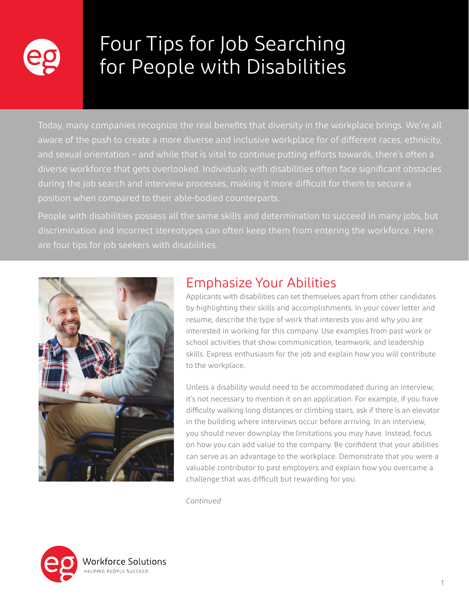

# Four Tips for Job Searching for People with Disabilities

Today, many companies recognize the real benefits that diversity in the workplace brings. We're all aware of the push to create a more diverse and inclusive workplace for of different races, ethnicity, and sexual orientation – and while that is vital to continue putting efforts towards, there's often a diverse workforce that gets overlooked. Individuals with disabilities often face significant obstacles during the job search and interview processes, making it more difficult for them to secure a position when compared to their able-bodied counterparts.

People with disabilities possess all the same skills and determination to succeed in many jobs, but discrimination and incorrect stereotypes can often keep them from entering the workforce. Here are four tips for job seekers with disabilities.



### Emphasize Your Abilities

Applicants with disabilities can set themselves apart from other candidates by highlighting their skills and accomplishments. In your cover letter and resume, describe the type of work that interests you and why you are interested in working for this company. Use examples from past work or school activities that show communication, teamwork, and leadership skills. Express enthusiasm for the job and explain how you will contribute to the workplace.

Unless a disability would need to be accommodated during an interview, it's not necessary to mention it on an application. For example, if you have difficulty walking long distances or climbing stairs, ask if there is an elevator in the building where interviews occur before arriving. In an interview, you should never downplay the limitations you may have. Instead, focus on how you can add value to the company. Be confident that your abilities can serve as an advantage to the workplace. Demonstrate that you were a valuable contributor to past employers and explain how you overcame a challenge that was difficult but rewarding for you.

*Continued*

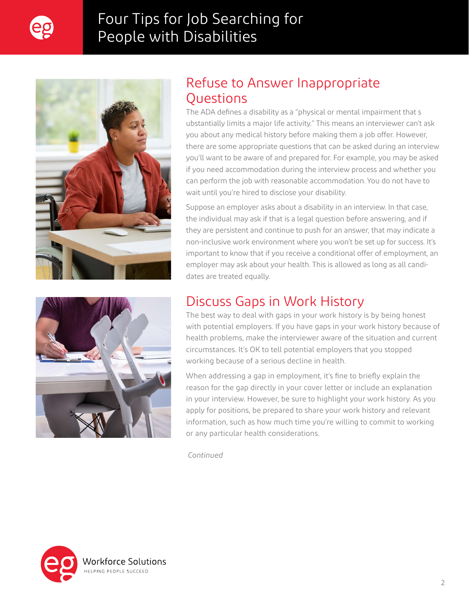

# Four Tips for Job Searching for People with Disabilities





#### Refuse to Answer Inappropriate **Ouestions**

The ADA defines a disability as a "physical or mental impairment that s ubstantially limits a major life activity." This means an interviewer can't ask you about any medical history before making them a job offer. However, there are some appropriate questions that can be asked during an interview you'll want to be aware of and prepared for. For example, you may be asked if you need accommodation during the interview process and whether you can perform the job with reasonable accommodation. You do not have to wait until you're hired to disclose your disability.

Suppose an employer asks about a disability in an interview. In that case, the individual may ask if that is a legal question before answering, and if they are persistent and continue to push for an answer, that may indicate a non-inclusive work environment where you won't be set up for success. It's important to know that if you receive a conditional offer of employment, an employer may ask about your health. This is allowed as long as all candidates are treated equally.

### Discuss Gaps in Work History

The best way to deal with gaps in your work history is by being honest with potential employers. If you have gaps in your work history because of health problems, make the interviewer aware of the situation and current circumstances. It's OK to tell potential employers that you stopped working because of a serious decline in health.

When addressing a gap in employment, it's fine to briefly explain the reason for the gap directly in your cover letter or include an explanation in your interview. However, be sure to highlight your work history. As you apply for positions, be prepared to share your work history and relevant information, such as how much time you're willing to commit to working or any particular health considerations.

*Continued*